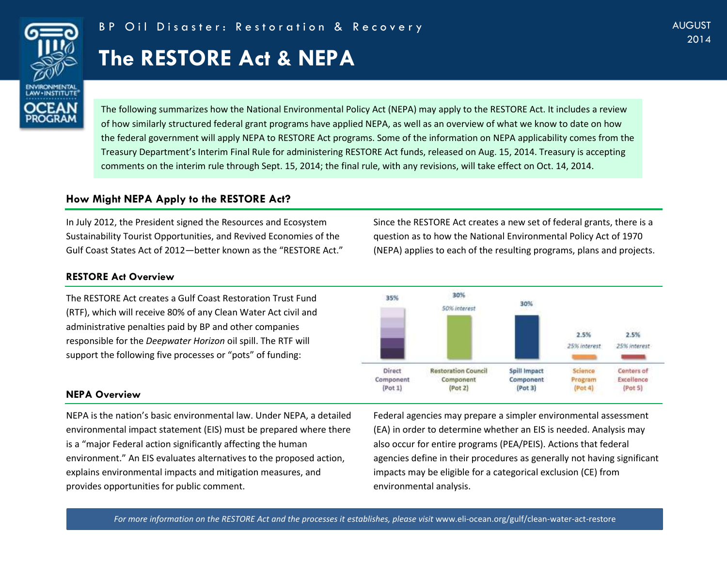

# **The RESTORE Act & NEPA**

Centers of

Excellence

 $(Plot 5)$ 

Science

Program

 $($ Pot 4 $)$ 

The following summarizes how the National Environmental Policy Act (NEPA) may apply to the RESTORE Act. It includes a review of how similarly structured federal grant programs have applied NEPA, as well as an overview of what we know to date on how the federal government will apply NEPA to RESTORE Act programs. Some of the information on NEPA applicability comes from the Treasury Department's Interim Final Rule for administering RESTORE Act funds, released on Aug. 15, 2014. Treasury is accepting comments on the interim rule through Sept. 15, 2014; the final rule, with any revisions, will take effect on Oct. 14, 2014.

## **How Might NEPA Apply to the RESTORE Act?**

In July 2012, the President signed the Resources and Ecosystem Sustainability Tourist Opportunities, and Revived Economies of the Gulf Coast States Act of 2012—better known as the "RESTORE Act."

#### **RESTORE Act Overview**

The RESTORE Act creates a Gulf Coast Restoration Trust Fund (RTF), which will receive 80% of any Clean Water Act civil and administrative penalties paid by BP and other companies responsible for the *Deepwater Horizon* oil spill. The RTF will support the following five processes or "pots" of funding:



Spill Impact

Component

 $($ Pot 3 $)$ 

**Restoration Council** 

Component

 $(Pat 2)$ 

Since the RESTORE Act creates a new set of federal grants, there is a question as to how the National Environmental Policy Act of 1970 (NEPA) applies to each of the resulting programs, plans and projects.

#### **NEPA Overview**

NEPA is the nation's basic environmental law. Under NEPA, a detailed environmental impact statement (EIS) must be prepared where there is a "major Federal action significantly affecting the human environment." An EIS evaluates alternatives to the proposed action, explains environmental impacts and mitigation measures, and provides opportunities for public comment.

Federal agencies may prepare a simpler environmental assessment (EA) in order to determine whether an EIS is needed. Analysis may also occur for entire programs (PEA/PEIS). Actions that federal agencies define in their procedures as generally not having significant impacts may be eligible for a categorical exclusion (CE) from environmental analysis.

For more information on the RESTORE Act and the processes it establishes, please visit [www.eli-ocean.org/gulf/clean-water-act-restore](http://www.eli-ocean.org/gulf/clean-water-act-restore)

**Direct** 

Component

 $($ Pot 1 $)$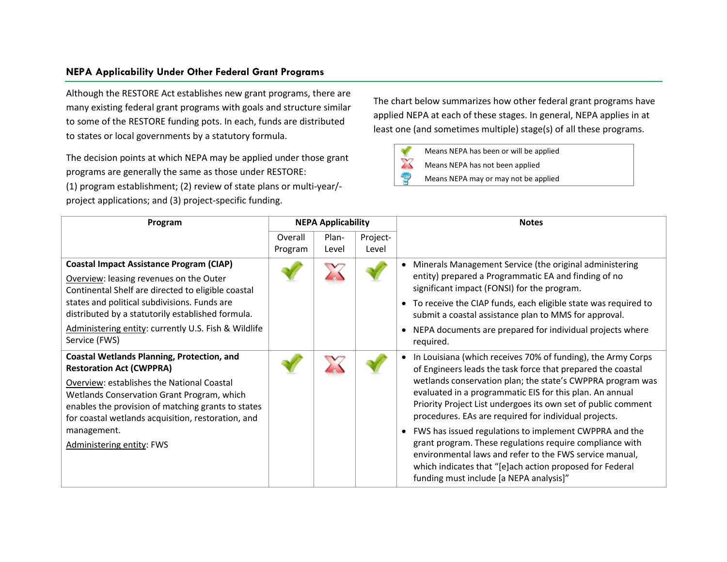### **NEPA Applicability Under Other Federal Grant Programs**

Although the RESTORE Act establishes new grant programs, there are many existing federal grant programs with goals and structure similar to some of the RESTORE funding pots. In each, funds are distributed to states or local governments by a statutory formula.

The decision points at which NEPA may be applied under those grant programs are generally the same as those under RESTORE: (1) program establishment; (2) review of state plans or multi-year/ project applications; and (3) project-specific funding.

The chart below summarizes how other federal grant programs have applied NEPA at each of these stages. In general, NEPA applies in at least one (and sometimes multiple) stage(s) of all these programs.

- Means NEPA has been or will be applied
- $\boldsymbol{\mathbb{X}}$ Means NEPA has not been applied
- Ð Means NEPA may or may not be applied

| Program                                                                                                                                                                                                                                                                                                                                  | <b>NEPA Applicability</b> |                |                   | <b>Notes</b>                                                                                                                                                                                                                                                                                                                                                                                                                                                                                                                                                                                                                                                            |
|------------------------------------------------------------------------------------------------------------------------------------------------------------------------------------------------------------------------------------------------------------------------------------------------------------------------------------------|---------------------------|----------------|-------------------|-------------------------------------------------------------------------------------------------------------------------------------------------------------------------------------------------------------------------------------------------------------------------------------------------------------------------------------------------------------------------------------------------------------------------------------------------------------------------------------------------------------------------------------------------------------------------------------------------------------------------------------------------------------------------|
|                                                                                                                                                                                                                                                                                                                                          | Overall<br>Program        | Plan-<br>Level | Project-<br>Level |                                                                                                                                                                                                                                                                                                                                                                                                                                                                                                                                                                                                                                                                         |
| <b>Coastal Impact Assistance Program (CIAP)</b><br>Overview: leasing revenues on the Outer<br>Continental Shelf are directed to eligible coastal<br>states and political subdivisions. Funds are<br>distributed by a statutorily established formula.<br>Administering entity: currently U.S. Fish & Wildlife<br>Service (FWS)           |                           |                |                   | Minerals Management Service (the original administering<br>$\bullet$<br>entity) prepared a Programmatic EA and finding of no<br>significant impact (FONSI) for the program.<br>To receive the CIAP funds, each eligible state was required to<br>submit a coastal assistance plan to MMS for approval.<br>NEPA documents are prepared for individual projects where<br>required.                                                                                                                                                                                                                                                                                        |
| <b>Coastal Wetlands Planning, Protection, and</b><br><b>Restoration Act (CWPPRA)</b><br>Overview: establishes the National Coastal<br>Wetlands Conservation Grant Program, which<br>enables the provision of matching grants to states<br>for coastal wetlands acquisition, restoration, and<br>management.<br>Administering entity: FWS |                           |                |                   | In Louisiana (which receives 70% of funding), the Army Corps<br>of Engineers leads the task force that prepared the coastal<br>wetlands conservation plan; the state's CWPPRA program was<br>evaluated in a programmatic EIS for this plan. An annual<br>Priority Project List undergoes its own set of public comment<br>procedures. EAs are required for individual projects.<br>FWS has issued regulations to implement CWPPRA and the<br>grant program. These regulations require compliance with<br>environmental laws and refer to the FWS service manual,<br>which indicates that "[e]ach action proposed for Federal<br>funding must include [a NEPA analysis]" |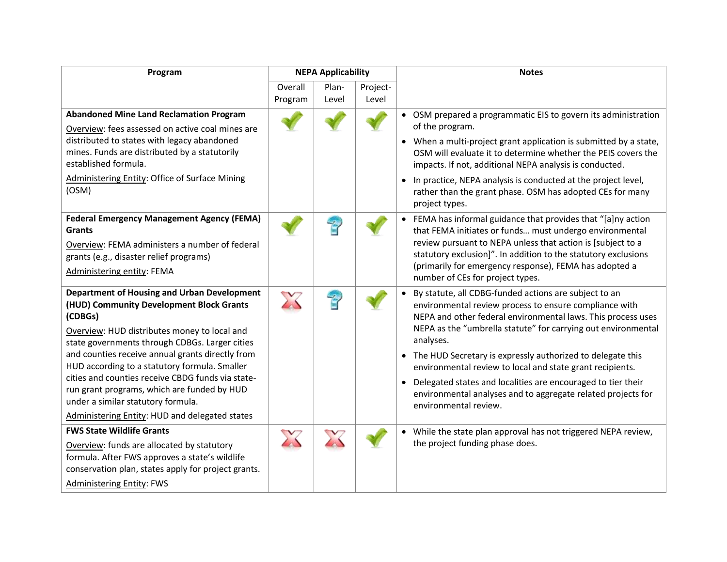| Program                                                                                           | <b>NEPA Applicability</b> |       |          | <b>Notes</b>                                                                                                                  |
|---------------------------------------------------------------------------------------------------|---------------------------|-------|----------|-------------------------------------------------------------------------------------------------------------------------------|
|                                                                                                   | Overall                   | Plan- | Project- |                                                                                                                               |
|                                                                                                   | Program                   | Level | Level    |                                                                                                                               |
| <b>Abandoned Mine Land Reclamation Program</b>                                                    |                           |       |          | • OSM prepared a programmatic EIS to govern its administration                                                                |
| Overview: fees assessed on active coal mines are                                                  |                           |       |          | of the program.                                                                                                               |
| distributed to states with legacy abandoned                                                       |                           |       |          | • When a multi-project grant application is submitted by a state,                                                             |
| mines. Funds are distributed by a statutorily                                                     |                           |       |          | OSM will evaluate it to determine whether the PEIS covers the                                                                 |
| established formula.                                                                              |                           |       |          | impacts. If not, additional NEPA analysis is conducted.                                                                       |
| <b>Administering Entity: Office of Surface Mining</b>                                             |                           |       |          | • In practice, NEPA analysis is conducted at the project level,                                                               |
| (OSM)                                                                                             |                           |       |          | rather than the grant phase. OSM has adopted CEs for many                                                                     |
|                                                                                                   |                           |       |          | project types.                                                                                                                |
| <b>Federal Emergency Management Agency (FEMA)</b>                                                 |                           |       |          | • FEMA has informal guidance that provides that "[a]ny action                                                                 |
| <b>Grants</b>                                                                                     |                           |       |          | that FEMA initiates or funds must undergo environmental                                                                       |
| Overview: FEMA administers a number of federal                                                    |                           |       |          | review pursuant to NEPA unless that action is [subject to a                                                                   |
| grants (e.g., disaster relief programs)                                                           |                           |       |          | statutory exclusion]". In addition to the statutory exclusions                                                                |
| Administering entity: FEMA                                                                        |                           |       |          | (primarily for emergency response), FEMA has adopted a                                                                        |
|                                                                                                   |                           |       |          | number of CEs for project types.                                                                                              |
| <b>Department of Housing and Urban Development</b>                                                |                           |       |          | By statute, all CDBG-funded actions are subject to an                                                                         |
| (HUD) Community Development Block Grants                                                          |                           |       |          | environmental review process to ensure compliance with                                                                        |
| (CDBGs)                                                                                           |                           |       |          | NEPA and other federal environmental laws. This process uses<br>NEPA as the "umbrella statute" for carrying out environmental |
| Overview: HUD distributes money to local and                                                      |                           |       |          | analyses.                                                                                                                     |
| state governments through CDBGs. Larger cities                                                    |                           |       |          |                                                                                                                               |
| and counties receive annual grants directly from<br>HUD according to a statutory formula. Smaller |                           |       |          | • The HUD Secretary is expressly authorized to delegate this                                                                  |
| cities and counties receive CBDG funds via state-                                                 |                           |       |          | environmental review to local and state grant recipients.                                                                     |
| run grant programs, which are funded by HUD                                                       |                           |       |          | Delegated states and localities are encouraged to tier their                                                                  |
| under a similar statutory formula.                                                                |                           |       |          | environmental analyses and to aggregate related projects for<br>environmental review.                                         |
| Administering Entity: HUD and delegated states                                                    |                           |       |          |                                                                                                                               |
| <b>FWS State Wildlife Grants</b>                                                                  |                           |       |          | • While the state plan approval has not triggered NEPA review,                                                                |
| Overview: funds are allocated by statutory                                                        |                           |       |          | the project funding phase does.                                                                                               |
| formula. After FWS approves a state's wildlife                                                    |                           |       |          |                                                                                                                               |
| conservation plan, states apply for project grants.                                               |                           |       |          |                                                                                                                               |
| <b>Administering Entity: FWS</b>                                                                  |                           |       |          |                                                                                                                               |